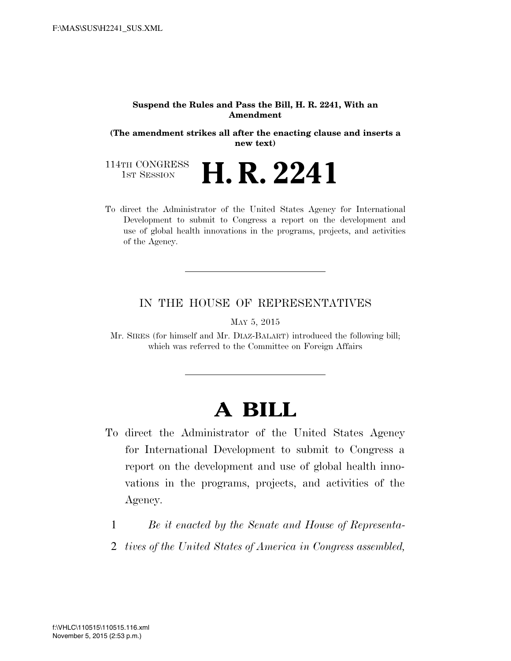#### **Suspend the Rules and Pass the Bill, H. R. 2241, With an Amendment**

**(The amendment strikes all after the enacting clause and inserts a new text)** 

114TH CONGRESS<br>1st Session **H. R. 2241** 

To direct the Administrator of the United States Agency for International Development to submit to Congress a report on the development and use of global health innovations in the programs, projects, and activities of the Agency.

## IN THE HOUSE OF REPRESENTATIVES

MAY 5, 2015

Mr. SIRES (for himself and Mr. DIAZ-BALART) introduced the following bill; which was referred to the Committee on Foreign Affairs

# **A BILL**

- To direct the Administrator of the United States Agency for International Development to submit to Congress a report on the development and use of global health innovations in the programs, projects, and activities of the Agency.
	- 1 *Be it enacted by the Senate and House of Representa-*
	- 2 *tives of the United States of America in Congress assembled,*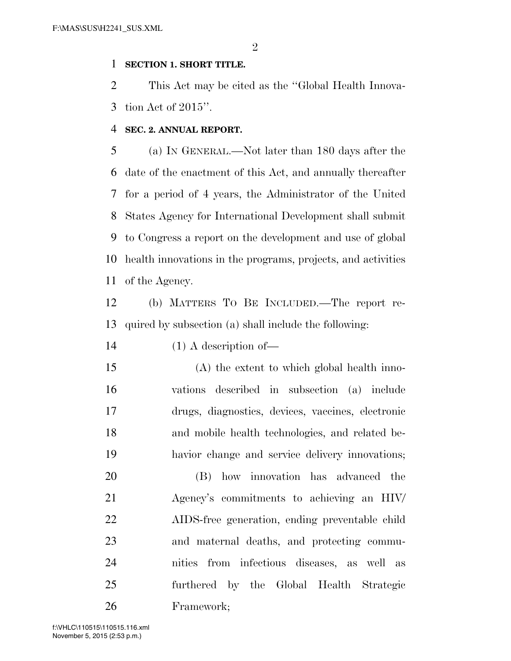### **SECTION 1. SHORT TITLE.**

 This Act may be cited as the ''Global Health Innova-tion Act of 2015''.

### **SEC. 2. ANNUAL REPORT.**

 (a) IN GENERAL.—Not later than 180 days after the date of the enactment of this Act, and annually thereafter for a period of 4 years, the Administrator of the United States Agency for International Development shall submit to Congress a report on the development and use of global health innovations in the programs, projects, and activities of the Agency.

 (b) MATTERS TO BE INCLUDED.—The report re-quired by subsection (a) shall include the following:

14 (1) A description of

 (A) the extent to which global health inno- vations described in subsection (a) include drugs, diagnostics, devices, vaccines, electronic and mobile health technologies, and related be-havior change and service delivery innovations;

 (B) how innovation has advanced the Agency's commitments to achieving an HIV/ AIDS-free generation, ending preventable child and maternal deaths, and protecting commu- nities from infectious diseases, as well as furthered by the Global Health Strategic Framework;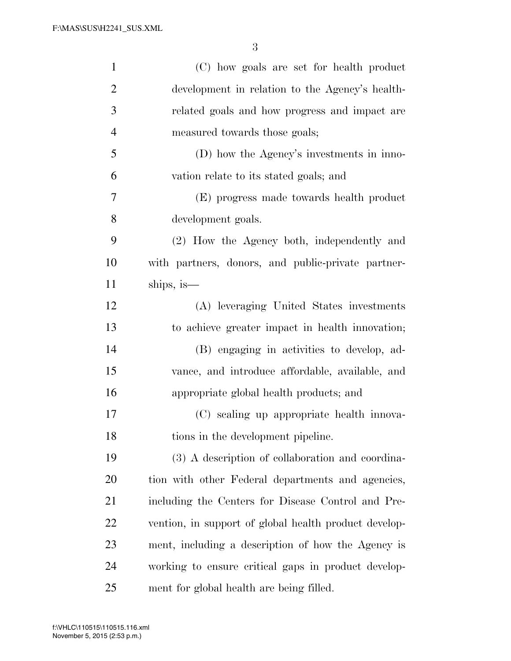| $\mathbf{1}$   | (C) how goals are set for health product              |
|----------------|-------------------------------------------------------|
| $\overline{2}$ | development in relation to the Agency's health-       |
| 3              | related goals and how progress and impact are         |
| $\overline{4}$ | measured towards those goals;                         |
| 5              | (D) how the Agency's investments in inno-             |
| 6              | vation relate to its stated goals; and                |
| 7              | (E) progress made towards health product              |
| 8              | development goals.                                    |
| 9              | (2) How the Agency both, independently and            |
| 10             | with partners, donors, and public-private partner-    |
| 11             | ships, is—                                            |
| 12             | (A) leveraging United States investments              |
| 13             | to achieve greater impact in health innovation;       |
| 14             | (B) engaging in activities to develop, ad-            |
| 15             | vance, and introduce affordable, available, and       |
| 16             | appropriate global health products; and               |
| 17             | (C) scaling up appropriate health innova-             |
| 18             | tions in the development pipeline.                    |
| 19             | (3) A description of collaboration and coordina-      |
| 20             | tion with other Federal departments and agencies,     |
| 21             | including the Centers for Disease Control and Pre-    |
| 22             | vention, in support of global health product develop- |
| 23             | ment, including a description of how the Agency is    |
| 24             | working to ensure critical gaps in product develop-   |
| 25             | ment for global health are being filled.              |